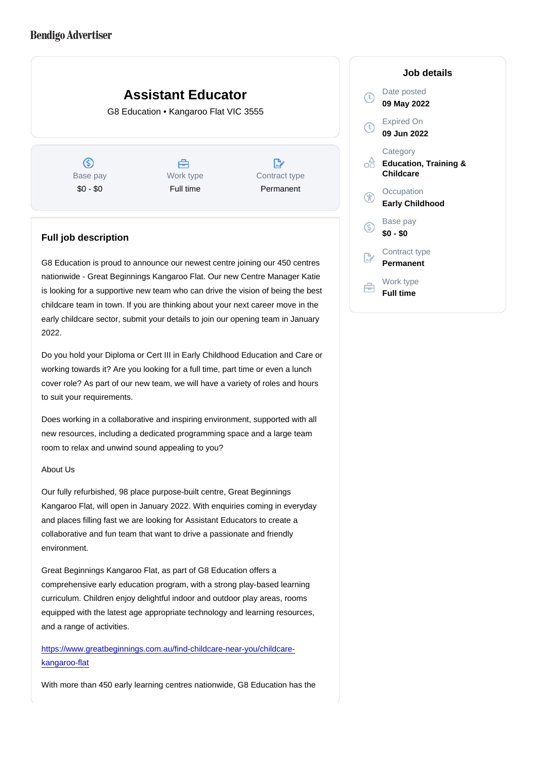# Assistant Educator G8 Education • Kangaroo Flat VIC 3555

Base pay \$0 - \$0

Work type Full time

Contract type Permanent

## Full job description

G8 Education is proud to announce our newest centre joining our 450 centres nationwide - Great Beginnings Kangaroo Flat. Our new Centre Manager Katie is looking for a supportive new team who can drive the vision of being the best childcare team in town. If you are thinking about your next career move in the early childcare sector, submit your details to join our opening team in January 2022.

Do you hold your Diploma or Cert III in Early Childhood Education and Care or working towards it? Are you looking for a full time, part time or even a lunch cover role? As part of our new team, we will have a variety of roles and hours to suit your requirements.

Does working in a collaborative and inspiring environment, supported with all new resources, including a dedicated programming space and a large team room to relax and unwind sound appealing to you?

## About Us

Our fully refurbished, 98 place purpose-built centre, Great Beginnings Kangaroo Flat, will open in January 2022. With enquiries coming in everyday and places filling fast we are looking for Assistant Educators to create a collaborative and fun team that want to drive a passionate and friendly environment.

Great Beginnings Kangaroo Flat, as part of G8 Education offers a comprehensive early education program, with a strong play-based learning curriculum. Children enjoy delightful indoor and outdoor play areas, rooms equipped with the latest age appropriate technology and learning resources, and a range of activities.

[https://www.greatbeginnings.com.au/find-childcare-near-you/childcare](https://www.greatbeginnings.com.au/find-childcare-near-you/childcare-kangaroo-flat)[kangaroo-flat](https://www.greatbeginnings.com.au/find-childcare-near-you/childcare-kangaroo-flat)

With more than 450 early learning centres nationwide, G8 Education has the

Job details

Date posted 09 May 2022

Expired On 09 Jun 2022

**Category** Education, Training & Childcare

**Occupation** Early Childhood

Base pay \$0 - \$0

Contract type Permanent

Work type Full time